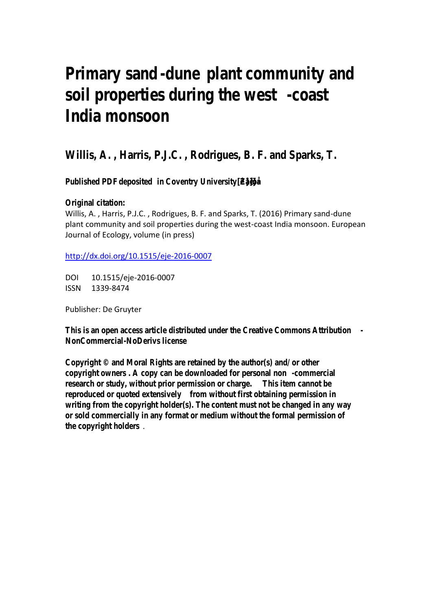# **Primary sand-uneplant community and** soil properties during the weestst **India monsoon**

**Willis, A. , Harris, P.J.C. , Rodrigues, B. F. and Sparks, T.**

**Published PDE eposited in Coventry University •**  $Z \approx 86$  **} • 3 3 Œ C** 

**Original citation:**

Willis, A. , Harris, P.J.C. , Rodrigues, B. F. and Sparks, T. (2016) Primary sand-dune plant community and soil properties during the west-coast India monsoon. European Journal of Ecology, volume (in press)

http://dx.doi.org/10.1515/eje-2016-0007

DOI 10.1515/eje-2016-0007 ISSN 1339-8474

Publisher: De Gruyter

**This is an open access article distributed under the Creative Commons Attribution - NonCommercial NoDerivs license** 

**Copyright © and Moral Rights are retained by the author(s) and/ or other copyright owners copy can be downloaded for personal nonmercial research or study, without prior permission or thangerm cannot be** reproduced or quoted extensively without first obtaining permission in **writing from the copyright holder(s). The content must not be changed in any way or sold commercially in any format or medium without the formal permission of the copyright holders** .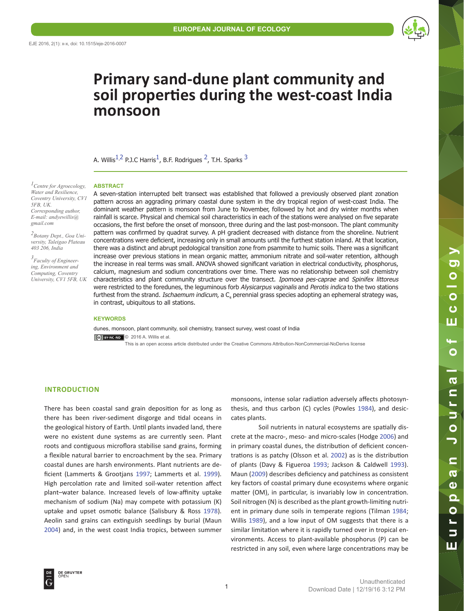

# **Primary sand-dune plant community and soil properties during the west-coast India monsoon**

A. Willis<sup>[1](#page-1-0),[2](#page-1-1)</sup> P.J.C Harris<sup>1</sup>, B.F. Rodrigues<sup>2</sup>, T.H. Sparks<sup>[3](#page-1-2)</sup>

#### <span id="page-1-0"></span>*1Centre for Agroecology, Water and Resilience, Coventry University, CV1 5FB, UK. Corresponding author, E-mail: andyewillis@ gmail.com*

<span id="page-1-1"></span>*2Botany Dept., Goa University, Taleigao Plateau 403 206, India*

<span id="page-1-2"></span>*3 Faculty of Engineering, Environment and Computing, Coventry University, CV1 5FB, UK* A seven-station interrupted belt transect was established that followed a previously observed plant zonation pattern across an aggrading primary coastal dune system in the dry tropical region of west-coast India. The dominant weather pattern is monsoon from June to November, followed by hot and dry winter months when rainfall is scarce. Physical and chemical soil characteristics in each of the stations were analysed on five separate occasions, the first before the onset of monsoon, three during and the last post-monsoon. The plant community pattern was confirmed by quadrat survey. A pH gradient decreased with distance from the shoreline. Nutrient concentrations were deficient, increasing only in small amounts until the furthest station inland. At that location, there was a distinct and abrupt pedological transition zone from psammite to humic soils. There was a significant increase over previous stations in mean organic matter, ammonium nitrate and soil-water retention, although the increase in real terms was small. ANOVA showed significant variation in electrical conductivity, phosphorus, calcium, magnesium and sodium concentrations over time. There was no relationship between soil chemistry characteristics and plant community structure over the transect. Ipomoea pes-caprae and Spinifex littoreus were restricted to the foredunes, the leguminous forb Alysicarpus vaginalis and Perotis indica to the two stations furthest from the strand. *Ischaemum indicum*, a C<sub>4</sub> perennial grass species adopting an ephemeral strategy was, in contrast, ubiquitous to all stations.

#### **KEYWORDS**

**ABSTRACT**

dunes, monsoon, plant community, soil chemistry, transect survey, west coast of India © 2016 A. Willis et al. This is an open access article distributed under the Creative Commons Attribution-NonCommercial-NoDerivs license

### **INTRODUCTION**

There has been coastal sand grain deposition for as long as there has been river-sediment disgorge and tidal oceans in the geological history of Earth. Until plants invaded land, there were no existent dune systems as are currently seen. Plant roots and contiguous microflora stabilise sand grains, forming a flexible natural barrier to encroachment by the sea. Primary coastal dunes are harsh environments. Plant nutrients are deficient (Lammerts & Grootjans [1997](#page-11-0); Lammerts et al. [1999](#page-11-0)). High percolation rate and limited soil-water retention affect plant–water balance. Increased levels of low-affinity uptake mechanism of sodium (Na) may compete with potassium (K) uptake and upset osmotic balance (Salisbury & Ross [1978](#page-11-1)). Aeolin sand grains can extinguish seedlings by burial (Maun [2004](#page-11-2)) and, in the west coast India tropics, between summer

monsoons, intense solar radiation adversely affects photosynthesis, and thus carbon (C) cycles (Powles [1984](#page-11-3)), and desiccates plants.

Soil nutrients in natural ecosystems are spatially discrete at the macro-, meso- and micro-scales (Hodge [2006\)](#page-11-4) and in primary coastal dunes, the distribution of deficient concentrations is as patchy (Olsson et al. [2002](#page-11-5)) as is the distribution of plants (Davy & Figueroa [1993](#page-10-0); Jackson & Caldwell [1993](#page-11-6)). Maun ([2009](#page-11-2)) describes deficiency and patchiness as consistent key factors of coastal primary dune ecosystems where organic matter (OM), in particular, is invariably low in concentration. Soil nitrogen (N) is described as the plant growth-limiting nutrient in primary dune soils in temperate regions (Tilman [1984;](#page-12-0) Willis [1989](#page-12-1)), and a low input of OM suggests that there is a similar limitation where it is rapidly turned over in tropical environments. Access to plant-available phosphorus (P) can be restricted in any soil, even where large concentrations may be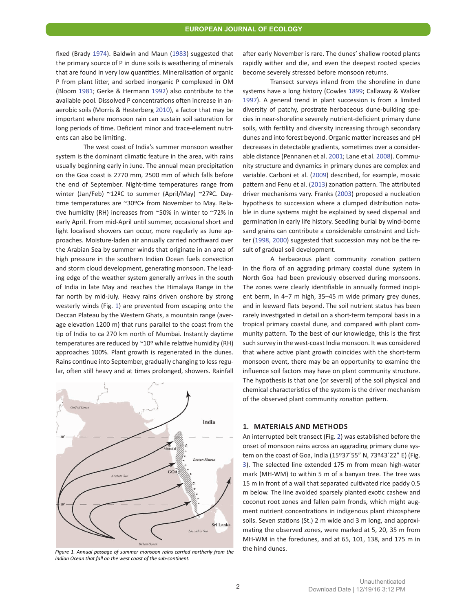fixed (Brady [1974](#page-10-1)). Baldwin and Maun ([1983](#page-10-1)) suggested that the primary source of P in dune soils is weathering of minerals that are found in very low quantities. Mineralisation of organic P from plant litter, and sorbed inorganic P complexed in OM (Bloom [1981](#page-10-1); Gerke & Hermann [1992](#page-10-2)) also contribute to the available pool. Dissolved P concentrations often increase in anaerobic soils (Morris & Hesterberg [2010](#page-11-2)), a factor that may be important where monsoon rain can sustain soil saturation for long periods of time. Deficient minor and trace-element nutrients can also be limiting.

The west coast of India's summer monsoon weather system is the dominant climatic feature in the area, with rains usually beginning early in June. The annual mean precipitation on the Goa coast is 2770 mm, 2500 mm of which falls before the end of September. Night-time temperatures range from winter (Jan/Feb) ~12ºC to summer (April/May) ~27ºC. Daytime temperatures are ~30ºC+ from November to May. Relative humidity (RH) increases from ~50% in winter to ~72% in early April. From mid-April until summer, occasional short and light localised showers can occur, more regularly as June approaches. Moisture-laden air annually carried northward over the Arabian Sea by summer winds that originate in an area of high pressure in the southern Indian Ocean fuels convection and storm cloud development, generating monsoon. The leading edge of the weather system generally arrives in the south of India in late May and reaches the Himalaya Range in the far north by mid-July. Heavy rains driven onshore by strong westerly winds (Fig. [1](#page-2-0)) are prevented from escaping onto the Deccan Plateau by the Western Ghats, a mountain range (average elevation 1200 m) that runs parallel to the coast from the tip of India to ca 270 km north of Mumbai. Instantly daytime temperatures are reduced by ~10º while relative humidity (RH) approaches 100%. Plant growth is regenerated in the dunes. Rains continue into September, gradually changing to less regular, often still heavy and at times prolonged, showers. Rainfall

<span id="page-2-0"></span>

*Indian Ocean that fall on the west coast of the sub-continent.*

after early November is rare. The dunes' shallow rooted plants rapidly wither and die, and even the deepest rooted species become severely stressed before monsoon returns.

Transect surveys inland from the shoreline in dune systems have a long history (Cowles [1899](#page-10-3); Callaway & Walker [1997](#page-10-3)). A general trend in plant succession is from a limited diversity of patchy, prostrate herbaceous dune-building species in near-shoreline severely nutrient-deficient primary dune soils, with fertility and diversity increasing through secondary dunes and into forest beyond. Organic matter increases and pH decreases in detectable gradients, sometimes over a considerable distance (Pennanen et al. 2001; Lane et al. [2008](#page-11-0)). Community structure and dynamics in primary dunes are complex and variable. Carboni et al. ([2009](#page-10-3)) described, for example, mosaic pattern and Fenu et al. ([2013](#page-10-4)) zonation pattern. The attributed driver mechanisms vary. Franks ([2003](#page-10-5)) proposed a nucleation hypothesis to succession where a clumped distribution notable in dune systems might be explained by seed dispersal and germination in early life history. Seedling burial by wind-borne sand grains can contribute a considerable constraint and Lichter [\(1998, 2000](#page-11-7)) suggested that succession may not be the result of gradual soil development.

A herbaceous plant community zonation pattern in the flora of an aggrading primary coastal dune system in North Goa had been previously observed during monsoons. The zones were clearly identifiable in annually formed incipient berm, in 4–7 m high, 35–45 m wide primary grey dunes, and in leeward flats beyond. The soil nutrient status has been rarely investigated in detail on a short-term temporal basis in a tropical primary coastal dune, and compared with plant community pattern. To the best of our knowledge, this is the first such survey in the west-coast India monsoon. It was considered that where active plant growth coincides with the short-term monsoon event, there may be an opportunity to examine the influence soil factors may have on plant community structure. The hypothesis is that one (or several) of the soil physical and chemical characteristics of the system is the driver mechanism of the observed plant community zonation pattern.

#### **1. MATERIALS AND METHODS**

An interrupted belt transect (Fig. [2](#page-3-0)) was established before the onset of monsoon rains across an aggrading primary dune system on the coast of Goa, India (15º37´55" N, 73º43´22" E) (Fig. [3](#page-3-1)). The selected line extended 175 m from mean high-water mark (MH-WM) to within 5 m of a banyan tree. The tree was 15 m in front of a wall that separated cultivated rice paddy 0.5 m below. The line avoided sparsely planted exotic cashew and coconut root zones and fallen palm fronds, which might augment nutrient concentrations in indigenous plant rhizosphere soils. Seven stations (St.) 2 m wide and 3 m long, and approximating the observed zones, were marked at 5, 20, 35 m from MH-WM in the foredunes, and at 65, 101, 138, and 175 m in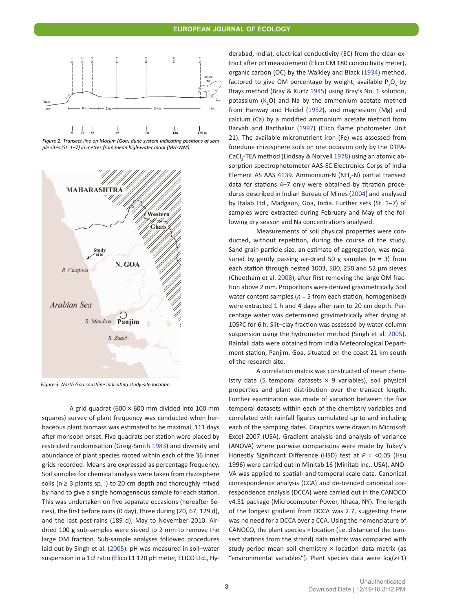<span id="page-3-0"></span>

*Figure 2. Transect line on Morjim (Goa) dune system indicating positions of sample sites (St. 1–7) in metres from mean high-water mark (MH-WM).*

<span id="page-3-1"></span>

*Figure 3. North Goa coastline indicating study-site location.*

A grid quadrat ( $600 \times 600$  mm divided into 100 mm squares) survey of plant frequency was conducted when herbaceous plant biomass was estimated to be maximal, 111 days after monsoon onset. Five quadrats per station were placed by restricted randomisation (Greig-Smith [1983](#page-10-6)) and diversity and abundance of plant species rooted within each of the 36 inner grids recorded. Means are expressed as percentage frequency. Soil samples for chemical analysis were taken from rhizosphere soils ( $n \geq 3$  plants sp.<sup>-1</sup>) to 20 cm depth and thoroughly mixed by hand to give a single homogeneous sample for each station. This was undertaken on five separate occasions (hereafter Series), the first before rains (0 day), three during (20, 67, 129 d), and the last post-rains (189 d), May to November 2010. Airdried 100 g sub-samples were sieved to 2 mm to remove the large OM fraction. Sub-sample analyses followed procedures laid out by Singh et al. [\(2005](#page-11-1)). pH was measured in soil–water suspension in a 1:2 ratio (Elico L1 120 pH meter, ELICO Ltd., Hyderabad, India), electrical conductivity (EC) from the clear extract after pH measurement (Elico CM 180 conductivity meter), organic carbon (OC) by the Walkley and Black ([1934](#page-12-2)) method, factored to give OM percentage by weight, available  $P_2O_5$  by Brays method (Bray & Kurtz [1945\)](#page-10-1) using Bray's No. 1 solution, potassium  $(K_2O)$  and Na by the ammonium acetate method from Hanway and Heidel ([1952\)](#page-11-8), and magnesium (Mg) and calcium (Ca) by a modified ammonium acetate method from Barvah and Barthakur ([1997](#page-10-1)) (Elico flame photometer Unit 21). The available micronutrient iron (Fe) was assessed from foredune rhizosphere soils on one occasion only by the DTPA-CaCl<sub>2</sub>-TEA method (Lindsay & Norvell [1978\)](#page-11-7) using an atomic absorption spectrophotometer AAS-EC Electronics Corps of India Element AS AAS 4139. Ammonium-N (NH<sub>4</sub>-N) partial transect data for stations 4–7 only were obtained by titration procedures described in Indian Bureau of Mines ([2004](#page-11-9)) and analysed by Italab Ltd., Madgaon, Goa, India. Further sets (St. 1–7) of samples were extracted during February and May of the following dry season and Na concentrations analysed.

Measurements of soil physical properties were conducted, without repetition, during the course of the study. Sand grain particle size, an estimate of aggregation, was measured by gently passing air-dried 50 g samples (*n* = 3) from each station through nested 1003, 500, 250 and 52 µm sieves (Cheetham et al. [2008](#page-10-3)), after first removing the large OM fraction above 2 mm. Proportions were derived gravimetrically. Soil water content samples (*n* = 5 from each station, homogenised) were extracted 1 h and 4 days after rain to 20 cm depth. Percentage water was determined gravimetrically after drying at 105ºC for 6 h. Silt–clay fraction was assessed by water column suspension using the hydrometer method (Singh et al. [2005\)](#page-11-10). Rainfall data were obtained from India Meteorological Department station, Panjim, Goa, situated on the coast 21 km south of the research site.

A correlation matrix was constructed of mean chemistry data (5 temporal datasets  $\times$  9 variables), soil physical properties and plant distribution over the transect length. Further examination was made of variation between the five temporal datasets within each of the chemistry variables and correlated with rainfall figures cumulated up to and including each of the sampling dates. Graphics were drawn in Microsoft Excel 2007 (USA). Gradient analysis and analysis of variance (ANOVA) where pairwise comparisons were made by Tukey's Honestly Significant Difference (HSD) test at *P* = <0.05 (Hsu 1996) were carried out in Minitab 16 (Minitab Inc., USA). ANO-VA was applied to spatial- and temporal-scale data. Canonical correspondence analysis (CCA) and de-trended canonical correspondence analysis (DCCA) were carried out in the CANOCO v4.51 package (Microcomputer Power, Ithaca, NY). The length of the longest gradient from DCCA was 2.7, suggesting there was no need for a DCCA over a CCA. Using the nomenclature of CANOCO, the plant species × location (i.e. distance of the transect stations from the strand) data matrix was compared with study-period mean soil chemistry × location data matrix (as "environmental variables"). Plant species data were log(*x*+1)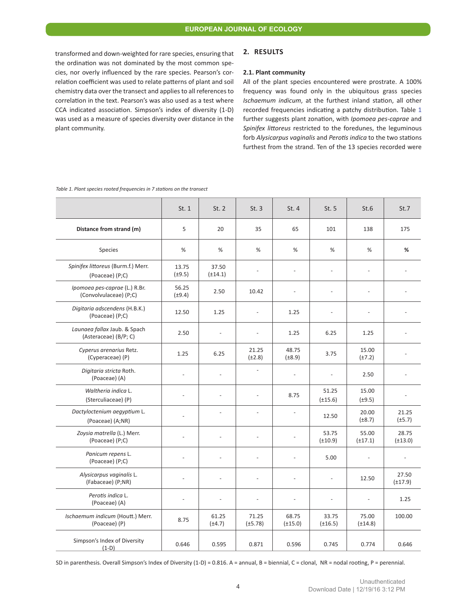transformed and down-weighted for rare species, ensuring that the ordination was not dominated by the most common species, nor overly influenced by the rare species. Pearson's correlation coefficient was used to relate patterns of plant and soil chemistry data over the transect and applies to all references to correlation in the text. Pearson's was also used as a test where CCA indicated association. Simpson's index of diversity (1-D) was used as a measure of species diversity over distance in the plant community.

## **2. RESULTS**

#### **2.1. Plant community**

All of the plant species encountered were prostrate. A 100% frequency was found only in the ubiquitous grass species *Ischaemum indicum*, at the furthest inland station, all other recorded frequencies indicating a patchy distribution. Table 1 further suggests plant zonation, with *Ipomoea pes-caprae* and *Spinifex littoreus* restricted to the foredunes, the leguminous forb *Alysicarpus vaginalis* and *Perotis indica* to the two stations furthest from the strand. Ten of the 13 species recorded were

|                                                         | St.1                 | St. 2                    | St.3                  | St.4                  | St.5                  | St.6                  | St.7                  |
|---------------------------------------------------------|----------------------|--------------------------|-----------------------|-----------------------|-----------------------|-----------------------|-----------------------|
| Distance from strand (m)                                | 5                    | 20                       | 35                    | 65                    | 101                   | 138                   | 175                   |
| Species                                                 | %                    | %                        | %                     | %                     | %                     | %                     | %                     |
| Spinifex littoreus (Burm.f.) Merr.<br>(Poaceae) (P;C)   | 13.75<br>$(\pm 9.5)$ | 37.50<br>$(\pm 14.1)$    | $\overline{a}$        | $\overline{a}$        | $\overline{a}$        | ÷.                    |                       |
| Ipomoea pes-caprae (L.) R.Br.<br>(Convolvulaceae) (P;C) | 56.25<br>$(\pm 9.4)$ | 2.50                     | 10.42                 |                       |                       |                       |                       |
| Digitaria adscendens (H.B.K.)<br>(Poaceae) (P;C)        | 12.50                | 1.25                     | L.                    | 1.25                  |                       |                       |                       |
| Launaea fallax Jaub. & Spach<br>(Asteraceae) (B/P; C)   | 2.50                 | $\overline{\phantom{a}}$ |                       | 1.25                  | 6.25                  | 1.25                  |                       |
| Cyperus arenarius Retz.<br>(Cyperaceae) (P)             | 1.25                 | 6.25                     | 21.25<br>$(\pm 2.8)$  | 48.75<br>$(\pm 8.9)$  | 3.75                  | 15.00<br>$(\pm 7.2)$  |                       |
| Digitaria stricta Roth.<br>(Poaceae) (A)                |                      | ÷,                       | L.                    |                       |                       | 2.50                  |                       |
| Waltheria indica L.<br>(Sterculiaceae) (P)              | L,                   | L,                       | L                     | 8.75                  | 51.25<br>$(\pm 15.6)$ | 15.00<br>$(\pm 9.5)$  |                       |
| Dactyloctenium aegyptium L.<br>(Poaceae) (A;NR)         |                      | L.                       | $\overline{a}$        |                       | 12.50                 | 20.00<br>$(\pm 8.7)$  | 21.25<br>$(\pm 5.7)$  |
| Zoysia matrella (L.) Merr.<br>(Poaceae) (P;C)           |                      | $\overline{a}$           | L.                    |                       | 53.75<br>$(\pm 10.9)$ | 55.00<br>$(\pm 17.1)$ | 28.75<br>$(\pm 13.0)$ |
| Panicum repens L.<br>(Poaceae) (P;C)                    |                      | ÷.                       | L.                    |                       | 5.00                  |                       |                       |
| Alysicarpus vaginalis L.<br>(Fabaceae) (P;NR)           | L.                   | $\sim$                   | $\overline{a}$        |                       |                       | 12.50                 | 27.50<br>$(\pm 17.9)$ |
| Perotis indica L.<br>(Poaceae) (A)                      | ÷,                   | ÷,                       | ÷.                    | L.                    |                       |                       | 1.25                  |
| Ischaemum indicum (Houtt.) Merr.<br>(Poaceae) (P)       | 8.75                 | 61.25<br>$(\pm 4.7)$     | 71.25<br>$(\pm 5.78)$ | 68.75<br>$(\pm 15.0)$ | 33.75<br>$(\pm 16.5)$ | 75.00<br>$(\pm 14.8)$ | 100.00                |
| Simpson's Index of Diversity<br>$(1-D)$                 | 0.646                | 0.595                    | 0.871                 | 0.596                 | 0.745                 | 0.774                 | 0.646                 |

*Table 1. Plant species rooted frequencies in 7 stations on the transect*

SD in parenthesis. Overall Simpson's Index of Diversity (1-D) = 0.816. A = annual, B = biennial, C = clonal, NR = nodal rooting, P = perennial.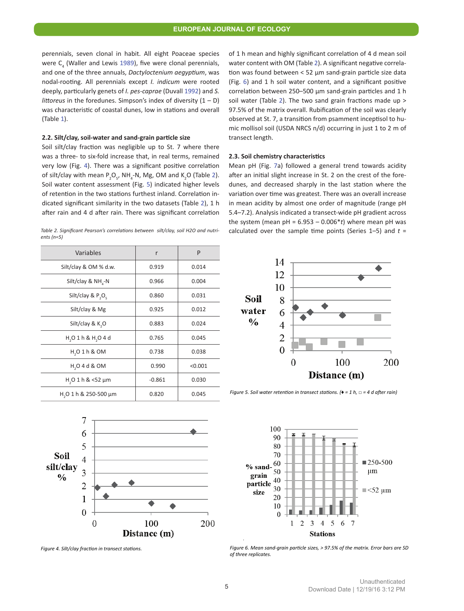perennials, seven clonal in habit. All eight Poaceae species were  $C_4$  (Waller and Lewis [1989](#page-12-3)), five were clonal perennials, and one of the three annuals, *Dactyloctenium aegyptium*, was nodal-rooting. All perennials except *I. indicum* were rooted deeply, particularly genets of *I. pes-caprae* (Duvall [1992](#page-10-7)) and *S. littoreus* in the foredunes. Simpson's index of diversity  $(1 - D)$ was characteristic of coastal dunes, low in stations and overall (Table 1).

#### **2.2. Silt/clay, soil-water and sand-grain particle size**

<span id="page-5-1"></span>*ents (n=5)*

Soil silt/clay fraction was negligible up to St. 7 where there was a three- to six-fold increase that, in real terms, remained very low (Fig. [4](#page-5-0)). There was a significant positive correlation of silt/clay with mean  $P_2O_{5}$  $P_2O_{5}$  $P_2O_{5}$ , NH<sub>4</sub>-N, Mg, OM and K<sub>2</sub>O (Table 2). Soil water content assessment (Fig. [5](#page-5-2)) indicated higher levels of retention in the two stations furthest inland. Correlation indicated significant similarity in the two datasets (Table [2](#page-5-1)), 1 h after rain and 4 d after rain. There was significant correlation

of 1 h mean and highly significant correlation of 4 d mean soil water content with OM (Table [2](#page-5-1)). A significant negative correlation was found between < 52 µm sand-grain particle size data (Fig. [6](#page-5-3)) and 1 h soil water content, and a significant positive correlation between 250–500 µm sand-grain particles and 1 h soil water (Table [2](#page-5-1)). The two sand grain fractions made up > 97.5% of the matrix overall. Rubification of the soil was clearly observed at St. 7, a transition from psamment inceptisol to humic mollisol soil (USDA NRCS n/d) occurring in just 1 to 2 m of transect length.

#### **2.3. Soil chemistry characteristics**

Mean pH (Fig. [7](#page-6-0)a) followed a general trend towards acidity after an initial slight increase in St. 2 on the crest of the foredunes, and decreased sharply in the last station where the variation over time was greatest. There was an overall increase in mean acidity by almost one order of magnitude (range pH 5.4–7.2). Analysis indicated a transect-wide pH gradient across the system (mean  $pH = 6.953 - 0.006*t$ ) where mean  $pH$  was *Table 2. Significant Pearson's correlations between silt/clay, soil H2O and nutri* calculated over the sample time points (Series 1–5) and *t* = *-*

| Variables                              | r        | P       |  |
|----------------------------------------|----------|---------|--|
| Silt/clay & OM % d.w.                  | 0.919    | 0.014   |  |
| Silt/clay & NH -N                      | 0.966    | 0.004   |  |
| Silt/clay & $P_2O_5$                   | 0.860    | 0.031   |  |
| Silt/clay & Mg                         | 0.925    | 0.012   |  |
| Silt/clay & K <sub>2</sub> O           | 0.883    | 0.024   |  |
| $H_1O_1h_8H_1O_4d$                     | 0.765    | 0.045   |  |
| H <sub>2</sub> O 1 h & O M             | 0.738    | 0.038   |  |
| $H2O$ 4 d & OM                         | 0.990    | < 0.001 |  |
| $H2O$ 1 h & <52 $\mu$ m                | $-0.861$ | 0.030   |  |
| H <sub>2</sub> O 1 h & 250-500 $\mu$ m | 0.820    | 0.045   |  |

<span id="page-5-2"></span>

*Figure 5. Soil water retention in transect stations. (*♦ *= 1 h, □ = 4 d after rain)*

<span id="page-5-3"></span>

*Figure 6. Mean sand-grain particle sizes, > 97.5% of the matrix. Error bars are SD of three replicates.*

<span id="page-5-0"></span>

*Figure 4. Silt/clay fraction in transect stations.*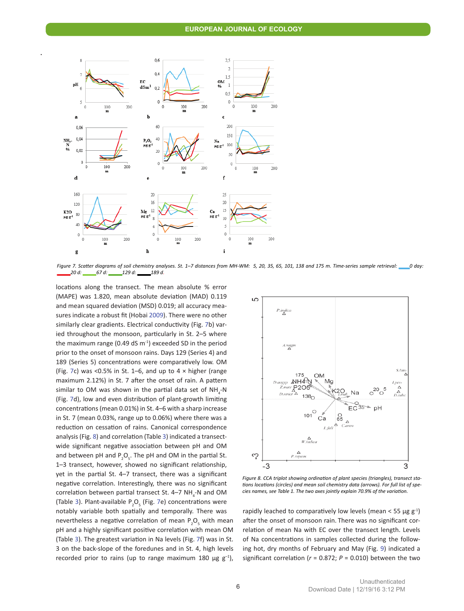

<span id="page-6-0"></span>.

*Figure 7. Scatter diagrams of soil chemistry analyses. St. 1–7 distances from MH-WM: 5, 20, 35, 65, 101, 138 and 175 m. Time-series sample retrieval: \_\_\_\_0 day: \_\_\_\_\_20 d: \_\_\_\_\_67 d: \_\_\_\_\_129 d: \_\_\_\_\_189 d.*

locations along the transect. The mean absolute % error . (MAPE) was 1.820, mean absolute deviation (MAD) 0.119 and mean squared deviation (MSD) 0.019; all accuracy measures indicate a robust fit (Hobai [2009](#page-11-4)). There were no other similarly clear gradients. Electrical conductivity (Fig. [7b](#page-6-0)) varied throughout the monsoon, particularly in St. 2–5 where the maximum range (0.49 dS  $m<sup>-1</sup>$ ) exceeded SD in the period prior to the onset of monsoon rains. Days 129 (Series 4) and 189 (Series 5) concentrations were comparatively low. OM (Fig. [7](#page-6-0)c) was <0.5% in St. 1–6, and up to  $4 \times$  higher (range maximum 2.12%) in St. 7 after the onset of rain. A pattern similar to OM was shown in the partial data set of  $NH_{4}$ -N (Fig. [7](#page-6-0)d), low and even distribution of plant-growth limiting concentrations (mean 0.01%) in St. 4–6 with a sharp increase in St. 7 (mean 0.03%, range up to 0.06%) where there was a reduction on cessation of rains. Canonical correspondence analysis (Fig. [8](#page-6-1)) and correlation (Table [3](#page-7-0)) indicated a transectwide significant negative association between pH and OM and between pH and  $P_2O_5$ . The pH and OM in the partial St. 1–3 transect, however, showed no significant relationship, yet in the partial St. 4–7 transect, there was a significant negative correlation. Interestingly, there was no significant correlation between partial transect St. 4–7  $NH_{4}$ -N and OM (Table [3](#page-7-0)). Plant-available  $P_2O_5$  (Fig. [7](#page-6-0)e) concentrations were notably variable both spatially and temporally. There was nevertheless a negative correlation of mean  $P_2O_5$  with mean pH and a highly significant positive correlation with mean OM (Table [3](#page-7-0)). The greatest variation in Na levels (Fig. [7](#page-6-0)f) was in St. 3 on the back-slope of the foredunes and in St. 4, high levels recorded prior to rains (up to range maximum 180  $\mu$ g g<sup>-1</sup>),

<span id="page-6-1"></span>

*Figure 8. CCA triplot showing ordination of plant species (triangles), transect stations locations (circles) and mean soil chemistry data (arrows). For full list of species names, see Table 1. The two axes jointly explain 70.9% of the variation.*

rapidly leached to comparatively low levels (mean < 55 µg  $g^{-1}$ ) after the onset of monsoon rain. There was no significant correlation of mean Na with EC over the transect length. Levels of Na concentrations in samples collected during the following hot, dry months of February and May (Fig. [9](#page-7-1)) indicated a significant correlation ( $r = 0.872$ ;  $P = 0.010$ ) between the two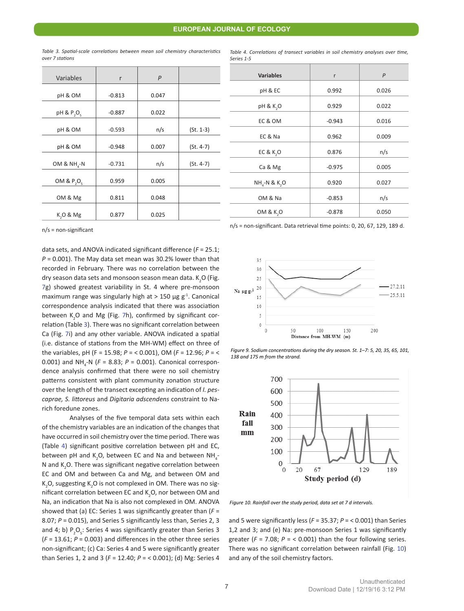| Variables                          | r        | $\overline{P}$ |             |
|------------------------------------|----------|----------------|-------------|
| pH & OM                            | $-0.813$ | 0.047          |             |
| pH & P <sub>2</sub> O <sub>c</sub> | $-0.887$ | 0.022          |             |
| pH & OM                            | $-0.593$ | n/s            | $(St. 1-3)$ |
| pH & OM                            | $-0.948$ | 0.007          | $(St. 4-7)$ |
| OM & $NH_{4}$ -N                   | $-0.731$ | n/s            | $(St. 4-7)$ |
| OM & $P_2O_5$                      | 0.959    | 0.005          |             |
| OM & Mg                            | 0.811    | 0.048          |             |
| K <sub>,</sub> O & Mg              | 0.877    | 0.025          |             |

<span id="page-7-0"></span>*Table 3. Spatial-scale correlations between mean soil chemistry characteristics over 7 stations*

<span id="page-7-2"></span>*Table 4. Correlations of transect variables in soil chemistry analyses over time, Series 1-5*

| <b>Variables</b>           | r        | $\mathsf{P}$ |
|----------------------------|----------|--------------|
| pH & EC                    | 0.992    | 0.026        |
| pH & K <sub>2</sub> O      | 0.929    | 0.022        |
| EC & OM                    | $-0.943$ | 0.016        |
| EC & Na                    | 0.962    | 0.009        |
| <b>EC &amp; K,O</b>        | 0.876    | n/s          |
| Ca & Mg                    | $-0.975$ | 0.005        |
| $NHa-N$ & K <sub>2</sub> O | 0.920    | 0.027        |
| OM & Na                    | $-0.853$ | n/s          |
| OM & K <sub>2</sub> O      | $-0.878$ | 0.050        |

n/s = non-significant

data sets, and ANOVA indicated significant difference (*F* = 25.1; *P* = 0.001). The May data set mean was 30.2% lower than that recorded in February. There was no correlation between the dry season data sets and monsoon season mean data.  $\text{K}_{2}\text{O}$  (Fig. [7](#page-6-0)g) showed greatest variability in St. 4 where pre-monsoon maximum range was singularly high at  $>$  150 µg g<sup>-1</sup>. Canonical correspondence analysis indicated that there was association between K<sub>2</sub>O and Mg (Fig. [7](#page-6-0)h), confirmed by significant correlation (Table [3](#page-7-0)). There was no significant correlation between Ca (Fig. [7](#page-6-0)i) and any other variable. ANOVA indicated a spatial (i.e. distance of stations from the MH-WM) effect on three of the variables, pH (F = 15.98; *P* = < 0.001), OM (*F* = 12.96; *P* = < 0.001) and NH<sub>4</sub>-N (F = 8.83; P = 0.001). Canonical correspondence analysis confirmed that there were no soil chemistry . patterns consistent with plant community zonation structure over the length of the transect excepting an indication of *I. pescaprae, S. littoreus* and *Digitaria adscendens* constraint to Narich foredune zones.

Analyses of the five temporal data sets within each of the chemistry variables are an indication of the changes that have occurred in soil chemistry over the time period. There was (Table [4](#page-7-2)) significant positive correlation between pH and EC, between pH and K<sub>2</sub>O, between EC and Na and between NH<sub>4</sub>-N and  $K_2$ O. There was significant negative correlation between EC and OM and between Ca and Mg, and between OM and K<sub>2</sub>O, suggesting K<sub>2</sub>O is not complexed in OM. There was no significant correlation between EC and  $K_2$ O, nor between OM and Na, an indication that Na is also not complexed in OM. ANOVA showed that (a) EC: Series 1 was significantly greater than (*F* = 8.07; *P* = 0.015), and Series 5 significantly less than, Series 2, 3 and 4; b)  $P_2O_5$ : Series 4 was significantly greater than Series 3 (*F* = 13.61; *P* = 0.003) and differences in the other three series non-significant; (c) Ca: Series 4 and 5 were significantly greater than Series 1, 2 and 3 (*F* = 12.40; *P* = < 0.001); (d) Mg: Series 4

n/s = non-significant. Data retrieval time points: 0, 20, 67, 129, 189 d.

<span id="page-7-1"></span>



<span id="page-7-3"></span>

*Figure 10. Rainfall over the study period, data set at 7 d intervals.*

and 5 were significantly less (*F* = 35.37; *P* = < 0.001) than Series 1,2 and 3; and (e) Na: pre-monsoon Series 1 was significantly greater  $(F = 7.08; P = 6.001)$  than the four following series. There was no significant correlation between rainfall (Fig. [10\)](#page-7-3) and any of the soil chemistry factors.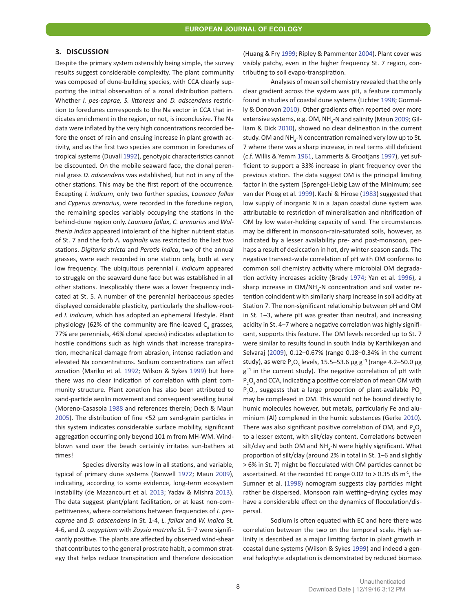#### **3. DISCUSSION**

Despite the primary system ostensibly being simple, the survey results suggest considerable complexity. The plant community was composed of dune-building species, with CCA clearly supporting the initial observation of a zonal distribution pattern. Whether *I. pes-caprae, S. littoreus* and *D. adscendens* restriction to foredunes corresponds to the Na vector in CCA that indicates enrichment in the region, or not, is inconclusive. The Na data were inflated by the very high concentrations recorded before the onset of rain and ensuing increase in plant growth activity, and as the first two species are common in foredunes of tropical systems (Duvall [1992](#page-10-7)), genotypic characteristics cannot be discounted. On the mobile seaward face, the clonal perennial grass *D. adscendens* was established, but not in any of the other stations. This may be the first report of the occurrence. Excepting *I. indicum*, only two further species, *Launaea fallax*  and *Cyperus arenarius*, were recorded in the foredune region, the remaining species variably occupying the stations in the behind-dune region only. *Launaea fallax*, *C. arenarius* and *Waltheria indica* appeared intolerant of the higher nutrient status of St. 7 and the forb *A. vaginalis* was restricted to the last two stations. *Digitaria stricta* and *Perotis indica*, two of the annual grasses, were each recorded in one station only, both at very low frequency. The ubiquitous perennial *I. indicum* appeared to struggle on the seaward dune face but was established in all other stations. Inexplicably there was a lower frequency indicated at St. 5. A number of the perennial herbaceous species displayed considerable plasticity, particularly the shallow-rooted *I. indicum*, which has adopted an ephemeral lifestyle. Plant physiology (62% of the community are fine-leaved  $C_4$  grasses, 77% are perennials, 46% clonal species) indicates adaptation to hostile conditions such as high winds that increase transpiration, mechanical damage from abrasion, intense radiation and elevated Na concentrations. Sodium concentrations can affect zonation (Mariko et al. [1992](#page-11-2); Wilson & Sykes [1999\)](#page-12-4) but here there was no clear indication of correlation with plant community structure. Plant zonation has also been attributed to sand-particle aeolin movement and consequent seedling burial (Moreno-Casasola [1988](#page-11-2) and references therein; Dech & Maun [2005](#page-10-8)). The distribution of fine <52 µm sand-grain particles in this system indicates considerable surface mobility, significant aggregation occurring only beyond 101 m from MH-WM. Windblown sand over the beach certainly irritates sun-bathers at times!

Species diversity was low in all stations, and variable, typical of primary dune systems (Ranwell [1972](#page-11-11); Maun [2009](#page-11-2)), indicating, according to some evidence, long-term ecosystem instability (de Mazancourt et al. [2013](#page-11-2); Yadav & Mishra [2013](#page-12-5)). The data suggest plant/plant facilitation, or at least non-competitiveness, where correlations between frequencies of *I. pescaprae* and *D. adscendens* in St. 1-4, *L. fallax* and *W. indica* St. 4-6, and *D. aegyptium* with *Zoysia matrella* St. 5–7 were significantly positive. The plants are affected by observed wind-shear that contributes to the general prostrate habit, a common strategy that helps reduce transpiration and therefore desiccation (Huang & Fry [1999](#page-11-4); Ripley & Pammenter [2004](#page-11-11)). Plant cover was visibly patchy, even in the higher frequency St. 7 region, contributing to soil evapo-transpiration.

Analyses of mean soil chemistry revealed that the only clear gradient across the system was pH, a feature commonly found in studies of coastal dune systems (Lichter [1998](#page-11-7); Gormally & Donovan [2010](#page-10-6)). Other gradients often reported over more extensive systems, e.g. OM, NH<sub>4</sub>-N and salinity (Maun [2009;](#page-11-2) Gilliam & Dick [2010](#page-10-6)), showed no clear delineation in the current study. OM and NH<sub>4</sub>-N concentration remained very low up to St. 7 where there was a sharp increase, in real terms still deficient (c.f. Willis & Yemm [1961](#page-12-4), Lammerts & Grootjans [1997](#page-11-0)), yet sufficient to support a 33% increase in plant frequency over the previous station. The data suggest OM is the principal limiting factor in the system (Sprengel-Liebig Law of the Minimum; see van der Ploeg et al. [1999](#page-12-6)). Kachi & Hirose ([1983](#page-11-12)) suggested that low supply of inorganic N in a Japan coastal dune system was attributable to restriction of mineralisation and nitrification of OM by low water-holding capacity of sand. The circumstances may be different in monsoon-rain-saturated soils, however, as indicated by a lesser availability pre- and post-monsoon, perhaps a result of desiccation in hot, dry winter-season sands. The negative transect-wide correlation of pH with OM conforms to common soil chemistry activity where microbial OM degradation activity increases acidity (Brady [1974](#page-10-1); Yan et al. [1996](#page-12-7)), a sharp increase in  $OM/NH<sub>4</sub>$ -N concentration and soil water retention coincident with similarly sharp increase in soil acidity at Station 7. The non-significant relationship between pH and OM in St. 1–3, where pH was greater than neutral, and increasing acidity in St. 4–7 where a negative correlation was highly significant, supports this feature. The OM levels recorded up to St. 7 were similar to results found in south India by Karthikeyan and Selvaraj ([2009](#page-11-12)), 0.12–0.67% (range 0.18–0.34% in the current study), as were  $P_2O_5$  levels, 15.5–53.6  $\mu$ g g<sup>-1</sup> (range 4.2–50.0  $\mu$ g  $g^{-1}$  in the current study). The negative correlation of pH with P<sub>2</sub>O<sub>5</sub> and CCA, indicating a positive correlation of mean OM with  $P_2O_5$ , suggests that a large proportion of plant-available PO<sub>4</sub> may be complexed in OM. This would not be bound directly to humic molecules however, but metals, particularly Fe and aluminium (Al) complexed in the humic substances (Gerke [2010](#page-10-2)). There was also significant positive correlation of OM, and  $P_2O_5$ to a lesser extent, with silt/clay content. Correlations between silt/clay and both OM and  $NH_{4}$ -N were highly significant. What proportion of silt/clay (around 2% in total in St. 1–6 and slightly > 6% in St. 7) might be flocculated with OM particles cannot be ascertained. At the recorded EC range 0.02 to  $>$  0.35 dS m<sup>-1</sup>, the Sumner et al. ([1998](#page-11-10)) nomogram suggests clay particles might rather be dispersed. Monsoon rain wetting–drying cycles may have a considerable effect on the dynamics of flocculation/dispersal.

Sodium is often equated with EC and here there was correlation between the two on the temporal scale. High salinity is described as a major limiting factor in plant growth in coastal dune systems (Wilson & Sykes [1999](#page-12-4)) and indeed a general halophyte adaptation is demonstrated by reduced biomass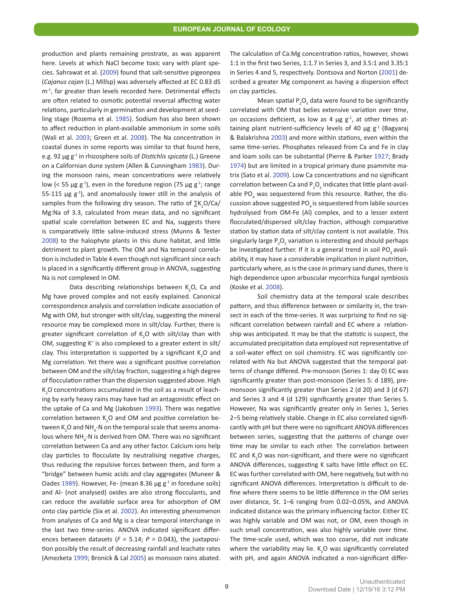production and plants remaining prostrate, as was apparent here. Levels at which NaCl become toxic vary with plant species. Sahrawat et al*.* ([2009](#page-11-1)) found that salt-sensitive pigeonpea (*Cajanus cajan* (L.) Millsp) was adversely affected at EC 0.83 dS m<sup>-1</sup>, far greater than levels recorded here. Detrimental effects are often related to osmotic potential reversal affecting water relations, particularly in germination and development at seedling stage (Rozema et al. [1985](#page-11-11)). Sodium has also been shown to affect reduction in plant-available ammonium in some soils (Wali et al. [2003](#page-12-3); Green et al. [2008](#page-10-6)). The Na concentration in coastal dunes in some reports was similar to that found here, e.g. 92 µg g-1 in rhizosphere soils of *Distichlis spicata* (L.) Greene on a Californian dune system (Allen & Cunningham [1983](#page-10-9)). During the monsoon rains, mean concentrations were relatively low (< 55 µg g<sup>-1</sup>), even in the foredune region (75 µg g<sup>-1</sup>; range 55-115  $\mu$ g g<sup>-1</sup>), and anomalously lower still in the analysis of samples from the following dry season. The ratio of  $\sum K^2_O/Ca/$ Mg:Na of 3.3, calculated from mean data, and no significant spatial scale correlation between EC and Na, suggests there is comparatively little saline-induced stress (Munns & Tester [2008](#page-11-2)) to the halophyte plants in this dune habitat, and little detriment to plant growth. The OM and Na temporal correlation is included in Table 4 even though not significant since each is placed in a significantly different group in ANOVA, suggesting Na is not complexed in OM.

Data describing relationships between  $K_2O$ , Ca and Mg have proved complex and not easily explained. Canonical correspondence analysis and correlation indicate association of Mg with OM, but stronger with silt/clay, suggesting the mineral resource may be complexed more in silt/clay. Further, there is greater significant correlation of  $K_2O$  with silt/clay than with OM, suggesting K<sup>+</sup> is also complexed to a greater extent in silt/ clay. This interpretation is supported by a significant  $K_2O$  and Mg correlation. Yet there was a significant positive correlation between OM and the silt/clay fraction, suggesting a high degree of flocculation rather than the dispersion suggested above. High  $K_2$ O concentrations accumulated in the soil as a result of leaching by early heavy rains may have had an antagonistic effect on the uptake of Ca and Mg (Jakobsen [1993](#page-11-6)). There was negative correlation between  $K_2O$  and OM and positive correlation between K<sub>2</sub>O and NH<sub>4</sub>-N on the temporal scale that seems anomalous where  $NH_{4}$ -N is derived from OM. There was no significant correlation between Ca and any other factor. Calcium ions help clay particles to flocculate by neutralising negative charges, thus reducing the repulsive forces between them, and form a "bridge" between humic acids and clay aggregates (Muneer & Oades [1989](#page-11-2)). However, Fe- (mean 8.36  $\mu$ g g<sup>-1</sup> in foredune soils) and Al- (not analysed) oxides are also strong flocculants, and can reduce the available surface area for adsorption of OM onto clay particle (Six et al. [2002](#page-11-10)). An interesting phenomenon from analyses of Ca and Mg is a clear temporal interchange in the last two time-series. ANOVA indicated significant differences between datasets ( $F = 5.14$ ;  $P = 0.043$ ), the juxtaposition possibly the result of decreasing rainfall and leachate rates (Amezketa [1999](#page-10-9); Bronick & Lal [2005\)](#page-10-1) as monsoon rains abated.

The calculation of Ca:Mg concentration ratios, however, shows 1:1 in the first two Series, 1:1.7 in Series 3, and 3.5:1 and 3.35:1 in Series 4 and 5, respectively. Dontsova and Norton ([2001\)](#page-10-7) described a greater Mg component as having a dispersion effect on clay particles.

Mean spatial  $P_2O_5$  data were found to be significantly correlated with OM that belies extensive variation over time, on occasions deficient, as low as 4  $\mu$ g g<sup>-1</sup>, at other times attaining plant nutrient-sufficiency levels of 40  $\mu$ g g<sup>-1</sup> (Bagyaraj & Balakrishna [2003](#page-10-10)) and more within stations, even within the same time-series. Phosphates released from Ca and Fe in clay and loam soils can be substantial (Pierre & Parker [1927](#page-11-3); Brady [1974](#page-10-1)) but are limited in a tropical primary dune psammite matrix (Sato et al. [2009](#page-11-1)). Low Ca concentrations and no significant correlation between Ca and  $P_2O_5$  indicates that little plant-available  $PO_4$  was sequestered from this resource. Rather, the discussion above suggested PO<sub>4</sub> is sequestered from labile sources hydrolysed from OM-Fe (Al) complex, and to a lesser extent flocculated/dispersed silt/clay fraction, although comparative station by station data of silt/clay content is not available. This singularly large  $P_2O_5$  variation is interesting and should perhaps be investigated further. If it is a general trend in soil PO, availability, it may have a considerable implication in plant nutrition, particularly where, as is the case in primary sand dunes, there is high dependence upon arbuscular mycorrhiza fungal symbiosis (Koske et al. [2008](#page-11-12)).

Soil chemistry data at the temporal scale describes pattern, and thus difference between or similarity in, the transect in each of the time-series. It was surprising to find no significant correlation between rainfall and EC where a relationship was anticipated. It may be that the statistic is suspect, the accumulated precipitation data employed not representative of a soil-water effect on soil chemistry. EC was significantly correlated with Na but ANOVA suggested that the temporal patterns of change differed. Pre-monsoon (Series 1: day 0) EC was significantly greater than post-monsoon (Series 5: d 189), premonsoon significantly greater than Series 2 (d 20) and 3 (d 67) and Series 3 and 4 (d 129) significantly greater than Series 5. However, Na was significantly greater only in Series 1, Series 2–5 being relatively stable. Change in EC also correlated significantly with pH but there were no significant ANOVA differences between series, suggesting that the patterns of change over time may be similar to each other. The correlation between EC and  $K_2O$  was non-significant, and there were no significant ANOVA differences, suggesting K salts have little effect on EC. EC was further correlated with OM, here negatively, but with no significant ANOVA differences. Interpretation is difficult to define where there seems to be little difference in the OM series over distance, St. 1–6 ranging from 0.02–0.05%, and ANOVA indicated distance was the primary influencing factor. Either EC was highly variable and OM was not, or OM, even though in such small concentration, was also highly variable over time. The time-scale used, which was too coarse, did not indicate where the variability may lie.  $K_2O$  was significantly correlated with pH, and again ANOVA indicated a non-significant differ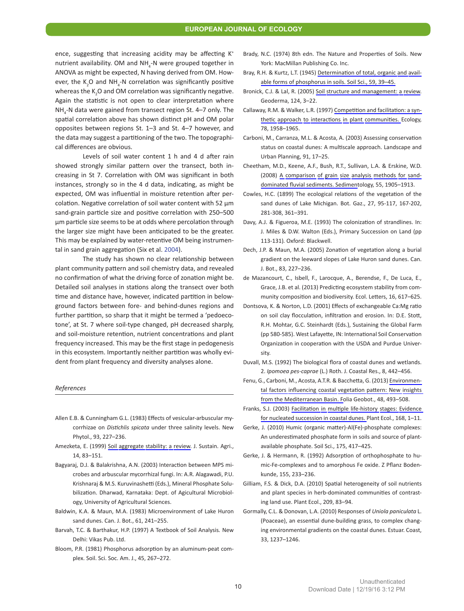ence, suggesting that increasing acidity may be affecting K<sup>+</sup> nutrient availability. OM and  $NH_{4}$ -N were grouped together in ANOVA as might be expected, N having derived from OM. However, the  $K_2O$  and NH<sub>4</sub>-N correlation was significantly positive whereas the  $K_2$ O and OM correlation was significantly negative. Again the statistic is not open to clear interpretation where  $NH_{4}$ -N data were gained from transect region St. 4–7 only. The spatial correlation above has shown distinct pH and OM polar opposites between regions St. 1–3 and St. 4–7 however, and the data may suggest a partitioning of the two. The topographical differences are obvious.

Levels of soil water content 1 h and 4 d after rain showed strongly similar pattern over the transect, both increasing in St 7. Correlation with OM was significant in both instances, strongly so in the 4 d data, indicating, as might be expected, OM was influential in moisture retention after percolation. Negative correlation of soil water content with 52 µm sand-grain particle size and positive correlation with 250–500 µm particle size seems to be at odds where percolation through the larger size might have been anticipated to be the greater. This may be explained by water-retentive OM being instrumental in sand grain aggregation (Six et al. [2004](#page-11-10)).

The study has shown no clear relationship between plant community pattern and soil chemistry data, and revealed no confirmation of what the driving force of zonation might be. Detailed soil analyses in stations along the transect over both time and distance have, however, indicated partition in belowground factors between fore- and behind-dunes regions and further partition, so sharp that it might be termed a 'pedoecotone', at St. 7 where soil-type changed, pH decreased sharply, and soil-moisture retention, nutrient concentrations and plant frequency increased. This may be the first stage in pedogenesis in this ecosystem. Importantly neither partition was wholly evident from plant frequency and diversity analyses alone.

#### *References*

- <span id="page-10-9"></span>Allen E.B. & Cunningham G.L. (1983) Effects of vesicular-arbuscular mycorrhizae on *Distichlis spicata* under three salinity levels. New Phytol., 93, 227–236.
- Amezketa, E. (1999) Soil aggregate stability: a review. J. Sustain. Agri., 14, 83–151.
- <span id="page-10-10"></span>Bagyaraj, D.J. & Balakrishna, A.N. (2003) Interaction between MPS microbes and arbuscular mycorrhizal fungi. In: A.R. Alagawadi, P.U. Krishnaraj & M.S. Kuruvinashetti (Eds.), Mineral Phosphate Solubilization. Dharwad, Karnataka: Dept. of Agicultural Microbiology, University of Agricultural Sciences.
- <span id="page-10-1"></span>Baldwin, K.A. & Maun, M.A. (1983) Microenvironment of Lake Huron sand dunes. Can. J. Bot., 61, 241–255.
- Barvah, T.C. & Barthakur, H.P. (1997) A Textbook of Soil Analysis*.* New Delhi: Vikas Pub. Ltd.
- Bloom, P.R. (1981) Phosphorus adsorption by an aluminum-peat complex. Soil. Sci. Soc. Am. J., 45, 267–272.
- Brady, N.C. (1974) 8th edn. The Nature and Properties of Soils. New York: MacMillan Publishing Co. Inc.
- Bray, R.H. & Kurtz, L.T. (1945) Determination of total, organic and available forms of phosphorus in soils. Soil Sci., 59, 39–45.
- Bronick, C.J. & Lal, R. (2005) Soil structure and management: a review. Geoderma, 124, 3–22.
- <span id="page-10-3"></span>Callaway, R.M. & Walker, L.R. (1997) Competition and facilitation: a synthetic approach to interactions in plant communities. Ecology, 78, 1958–1965.
- Carboni, M., Carranza, M.L. & Acosta, A. (2003) Assessing conservation status on coastal dunes: A multiscale approach. Landscape and Urban Planning, 91, 17–25.
- Cheetham, M.D., Keene, A.F., Bush, R.T., Sullivan, L.A. & Erskine, W.D. (2008) A comparison of grain size analysis methods for sanddominated fluvial sediments. Sedimentology, 55, 1905–1913.
- Cowles, H.C. (1899) The ecological relations of the vegetation of the sand dunes of Lake Michigan. Bot. Gaz., 27, 95-117, 167-202, 281-308, 361–391.
- <span id="page-10-0"></span>Davy, A.J. & Figueroa, M.E. (1993) The colonization of strandlines. In: J. Miles & D.W. Walton (Eds.), Primary Succession on Land (pp 113-131)*.* Oxford: Blackwell.
- <span id="page-10-8"></span>Dech, J.P. & Maun, M.A. (2005) Zonation of vegetation along a burial gradient on the leeward slopes of Lake Huron sand dunes. Can. J. Bot., 83, 227–236.
- de Mazancourt, C., Isbell, F., Larocque, A., Berendse, F., De Luca, E., Grace, J.B. et al. (2013) Predicting ecosystem stability from community composition and biodiversity. Ecol. Letters, 16, 617–625.
- <span id="page-10-7"></span>Dontsova, K. & Norton, L.D. (2001) Effects of exchangeable Ca:Mg ratio on soil clay flocculation, infiltration and erosion. In: D.E. Stott, R.H. Mohtar, G.C. Steinhardt (Eds.), Sustaining the Global Farm (pp 580-585). West Lafayette, IN: International Soil Conservation Organization in cooperation with the USDA and Purdue University.
- Duvall, M.S. (1992) The biological flora of coastal dunes and wetlands. 2. *Ipomoea pes-caprae* (L.) Roth. J. Coastal Res., 8, 442–456.
- <span id="page-10-4"></span>Fenu, G., Carboni, M., Acosta, A.T.R. & Bacchetta, G. (2013) Environmental factors influencing coastal vegetation pattern: New insights from the Mediterranean Basin. Folia Geobot., 48, 493–508.
- <span id="page-10-5"></span>Franks, S.J. (2003) Facilitation in multiple life-history stages: Evidence for nucleated succession in coastal dunes. Plant Ecol., 168, 1–11.
- <span id="page-10-2"></span>Gerke, J. (2010) Humic (organic matter)-Al(Fe)-phosphate complexes: An underestimated phosphate form in soils and source of plantavailable phosphate. Soil Sci., 175, 417–425.
- Gerke, J. & Hermann, R. (1992) Adsorption of orthophosphate to humic-Fe-complexes and to amorphous Fe oxide. Z Pflanz Bodenkunde, 155, 233–236.
- <span id="page-10-6"></span>Gilliam, F.S. & Dick, D.A. (2010) Spatial heterogeneity of soil nutrients and plant species in herb-dominated communities of contrasting land use. Plant Ecol., 209, 83–94.
- Gormally, C.L. & Donovan, L.A. (2010) Responses of *Uniola paniculata* L. (Poaceae), an essential dune-building grass, to complex changing environmental gradients on the coastal dunes. Estuar. Coast, 33, 1237–1246.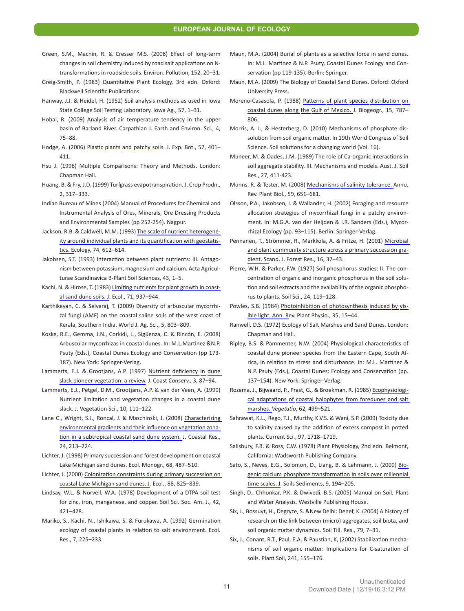#### **EUROPEAN JOURNAL OF ECOLOGY**

- Green, S.M., Machin, R. & Cresser M.S. (2008) Effect of long-term changes in soil chemistry induced by road salt applications on Ntransformations in roadside soils. Environ. Pollution, 152, 20–31.
- Greig-Smith, P. (1983) Quantitative Plant Ecology, 3rd edn. Oxford: Blackwell Scientific Publications.
- <span id="page-11-8"></span>Hanway, J.J. & Heidel, H. (1952) Soil analysis methods as used in Iowa State College Soil Testing Laboratory. Iowa Ag., 57, 1–31.
- <span id="page-11-4"></span>Hobai, R. (2009) Analysis of air temperature tendency in the upper basin of Barland River. Carpathian J. Earth and Environ. Sci., 4, 75–88.
- Hodge, A. (2006) Plastic plants and patchy soils. J. Exp. Bot., 57, 401– 411.
- Hsu J. (1996) Multiple Comparisons: Theory and Methods. London: Chapman Hall.
- Huang, B. & Fry, J.D. (1999) Turfgrass evapotranspiration. J. Crop Prodn., 2, 317–333.
- <span id="page-11-9"></span>Indian Bureau of Mines (2004) Manual of Procedures for Chemical and Instrumental Analysis of Ores, Minerals, Ore Dressing Products and Environmental Samples (pp 252-254). Nagpur.
- <span id="page-11-6"></span>Jackson, R.B. & Caldwell, M.M. (1993) The scale of nutrient heterogeneity around individual plants and its quantification with geostatistics. Ecology, 74, 612–614.
- Jakobsen, S.T. (1993) Interaction between plant nutrients: III. Antagonism between potassium, magnesium and calcium. Acta Agriculturae Scandinavica B-Plant Soil Sciences, 43, 1–5.
- <span id="page-11-12"></span>Kachi, N. & Hirose, T. (1983) Limiting nutrients for plant growth in coastal sand dune soils. J. Ecol., 71, 937–944.
- Karthikeyan, C. & Selvaraj, T. (2009) Diversity of arbuscular mycorrhizal fungi (AMF) on the coastal saline soils of the west coast of Kerala, Southern India. World J. Ag. Sci., 5, 803–809.
- Koske, R.E., Gemma, J.N., Corkidi, L., Sigüenza, C. & Rincón, E. (2008) Arbuscular mycorrhizas in coastal dunes. In: M.L.Martinez &N.P. Psuty (Eds.), Coastal Dunes Ecology and Conservation (pp 173- 187). New York: Springer-Verlag.
- <span id="page-11-0"></span>Lammerts, E.J. & Grootjans, A.P. (1997) Nutrient deficiency in dune slack pioneer vegetation: a review. J. Coast Conserv., 3, 87–94.
- Lammerts, E.J., Petgel, D.M., Grootjans, A.P. & van der Veen, A. (1999) Nutrient limitation and vegetation changes in a coastal dune slack. J. Vegetation Sci., 10, 111–122.
- Lane C., Wright, S.J., Roncal, J. & Maschinski, J. (2008) Characterizing environmental gradients and their influence on vegetation zonation in a subtropical coastal sand dune system. J. Coastal Res., 24, 213–224.
- <span id="page-11-7"></span>Lichter, J. (1998) Primary succession and forest development on coastal Lake Michigan sand dunes. Ecol. Monogr., 68, 487–510.
- Lichter, J. (2000) Colonization constraints during primary succession on coastal Lake Michigan sand dunes. J. Ecol., 88, 825–839.
- Lindsay, W.L. & Norvell, W.A. (1978) Development of a DTPA soil test for zinc, iron, manganese, and copper. Soil Sci. Soc. Am. J., 42, 421–428.
- <span id="page-11-2"></span>Mariko, S., Kachi, N., Ishikawa, S. & Furukawa, A. (1992) Germination ecology of coastal plants in relation to salt environment. Ecol. Res., 7, 225–233.
- Maun, M.A. (2004) Burial of plants as a selective force in sand dunes. In: M.L. Martinez & N.P. Psuty, Coastal Dunes Ecology and Conservation (pp 119-135). Berlin: Springer.
- Maun, M.A. (2009) The Biology of Coastal Sand Dunes. Oxford: Oxford University Press.
- Moreno-Casasola, P. (1988) Patterns of plant species distribution on coastal dunes along the Gulf of Mexico. J. Biogeogr., 15, 787– 806.
- Morris, A. J., & Hesterberg, D. (2010) Mechanisms of phosphate dissolution from soil organic matter. In 19th World Congress of Soil Science. Soil solutions for a changing world (Vol. 16).
- Muneer, M. & Oades, J.M. (1989) The role of Ca-organic interactions in soil aggregate stability. III. Mechanisms and models. Aust. J. Soil Res., 27, 411-423.
- Munns, R. & Tester, M. (2008) Mechanisms of salinity tolerance. Annu. Rev. Plant Biol., 59, 651–681.
- <span id="page-11-5"></span>Olsson, P.A., Jakobsen, I. & Wallander, H. (2002) Foraging and resource allocation strategies of mycorrhizal fungi in a patchy environment. In: M.G.A. van der Heijden & I.R. Sanders (Eds.), Mycorrhizal Ecology (pp. 93–115). Berlin: Springer-Verlag.
- Pennanen, T., Strömmer, R., Markkola, A. & Fritze, H. (2001) Microbial and plant community structure across a primary succession gradient. Scand. J. Forest Res., 16, 37–43.
- <span id="page-11-3"></span>Pierre, W.H. & Parker, F.W. (1927) Soil phosphorus studies: II. The concentration of organic and inorganic phosphorus in the soil solution and soil extracts and the availability of the organic phosphorus to plants. Soil Sci., 24, 119–128.
- Powles, S.B. (1984) Photoinhibition of photosynthesis induced by visible light. Ann. Rev. Plant Physio., 35, 15–44.
- <span id="page-11-11"></span>Ranwell, D.S. (1972) Ecology of Salt Marshes and Sand Dunes. London: Chapman and Hall.
- Ripley, B.S. & Pammenter, N.W. (2004) Physiological characteristics of coastal dune pioneer species from the Eastern Cape, South Africa, in relation to stress and disturbance. In: M.L. Martínez & N.P. Psuty (Eds.), Coastal Dunes: Ecology and Conservation (pp. 137–154). New York: Springer-Verlag.
- Rozema, J., Bijwaard, P., Prast, G., & Broekman, R. (1985) Ecophysiological adaptations of coastal halophytes from foredunes and salt marshes. *Vegetatio*, 62, 499–521.
- <span id="page-11-1"></span>Sahrawat, K.L., Rego, T.J., Murthy, K.V.S. & Wani, S.P. (2009) Toxicity due to salinity caused by the addition of excess compost in potted plants. Current Sci., 97, 1718–1719.
- Salisbury, F.B. & Ross, C.W. (1978) Plant Physiology, 2nd edn. Belmont, California: Wadsworth Publishing Company.
- Sato, S., Neves, E.G., Solomon, D., Liang, B. & Lehmann, J. (2009) Biogenic calcium phosphate transformation in soils over millennial time scales. J. Soils Sediments, 9, 194–205.
- Singh, D., Chhonkar, P.K. & Dwivedi, B.S. (2005) Manual on Soil, Plant and Water Analysis*.* Westville Publishing House.
- <span id="page-11-10"></span>Six, J., Bossuyt, H., Degryze, S. &New Delhi: Denef, K. (2004) A history of research on the link between (micro) aggregates, soil biota, and soil organic matter dynamics. Soil Till. Res., 79, 7–31.
- Six, J., Conant, R.T., Paul, E.A. & Paustian, K, (2002) Stabilization mechanisms of soil organic matter: Implications for C-saturation of soils. Plant Soil, 241, 155–176.